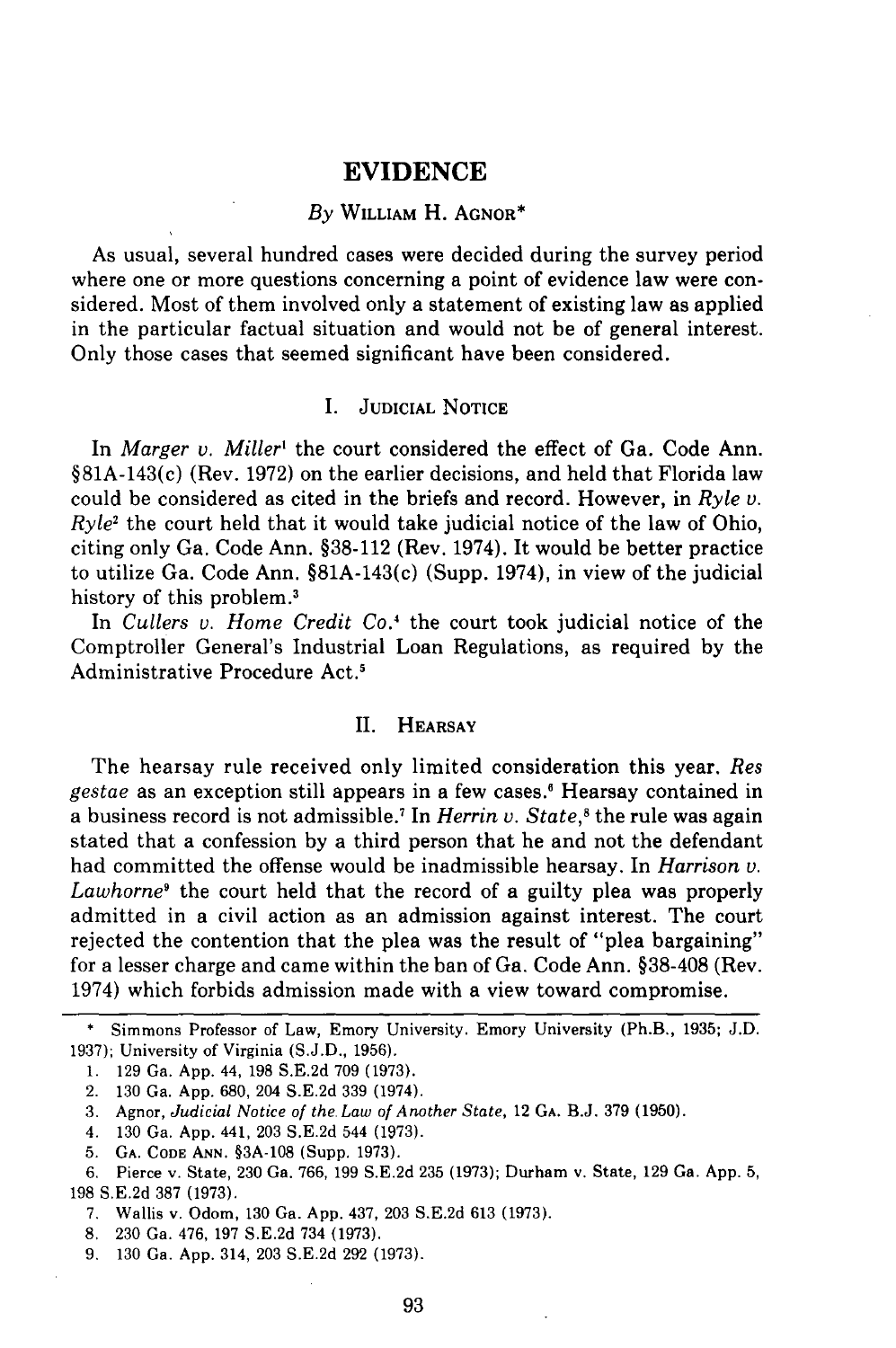## *By* **WILLIAM** H. **AGNOR\***

As usual, several hundred cases were decided during the survey period where one or more questions concerning a point of evidence law were considered. Most of them involved only a statement of existing law as applied in the particular factual situation and would not be of general interest. Only those cases that seemed significant have been considered.

# I. **JUDICIAL NOTICE**

In *Marger v. Miller'* the court considered the effect of Ga. Code Ann. §81A-143(c) (Rev. **1972)** on the earlier decisions, and held that Florida law could be considered as cited in the briefs and record. However, in *Ryle v.*  $Ryle<sup>2</sup>$  the court held that it would take judicial notice of the law of Ohio, citing only Ga. Code Ann. §38-112 (Rev. 1974). It would be better practice to utilize Ga. Code Ann. §81A-143(c) (Supp. 1974), in view of the judicial history of this problem.<sup>3</sup>

In *Cullers v. Home Credit Co.4* the court took judicial notice of the Comptroller General's Industrial Loan Regulations, as required by the Administrative Procedure Act.'

## II. **HEARSAY**

The hearsay rule received only limited consideration this year. *Res gestae* as an exception still appears in a few cases.' Hearsay contained in a business record is not admissible.' In *Herrin v. State,'* the rule was again stated that a confession by a third person that he and not the defendant had committed the offense would be inadmissible hearsay. In *Harrison v. Lawhorne9* the court held that the record of a guilty plea was properly admitted in a civil action as an admission against interest. The court rejected the contention that the plea was the result of "plea bargaining" for a lesser charge and came within the ban of Ga. Code Ann. **§38-408** (Rev. 1974) which forbids admission made with a view toward compromise.

- 7. Wallis v. Odom, 130 Ga. App. 437, 203 S.E.2d 613 (1973).
- **8,** 230 Ga. 476, 197 S.E.2d 734 (1973).

**<sup>\*</sup>** Simmons Professor of Law, Emory University. Emory University (Ph.B., **1935;** J.D. 1937); University of Virginia (S.J.D., **1956).**

**<sup>1. 129</sup>** Ga. App. 44, **198** S.E.2d **709** (1973).

<sup>2.</sup> **130** Ga. App. 680, 204 S.E.2d **339** (1974).

<sup>3.</sup> Agnor, *Judicial Notice of the Law of Another State,* 12 GA. B.J. 379 (1950).

<sup>4. 130</sup> Ga. App. 441, 203 S.E.2d 544 (1973).

<sup>5.</sup> GA. **CODE ANN.** §3A-108 (Supp. 1973).

<sup>6.</sup> Pierce v. State, 230 Ga. 766, 199 S.E.2d 235 (1973); Durham v. State, 129 Ga. App. 5, 198 S.E.2d 387 (1973).

<sup>9. 130</sup> Ga. App. 314, 203 S.E.2d 292 (1973).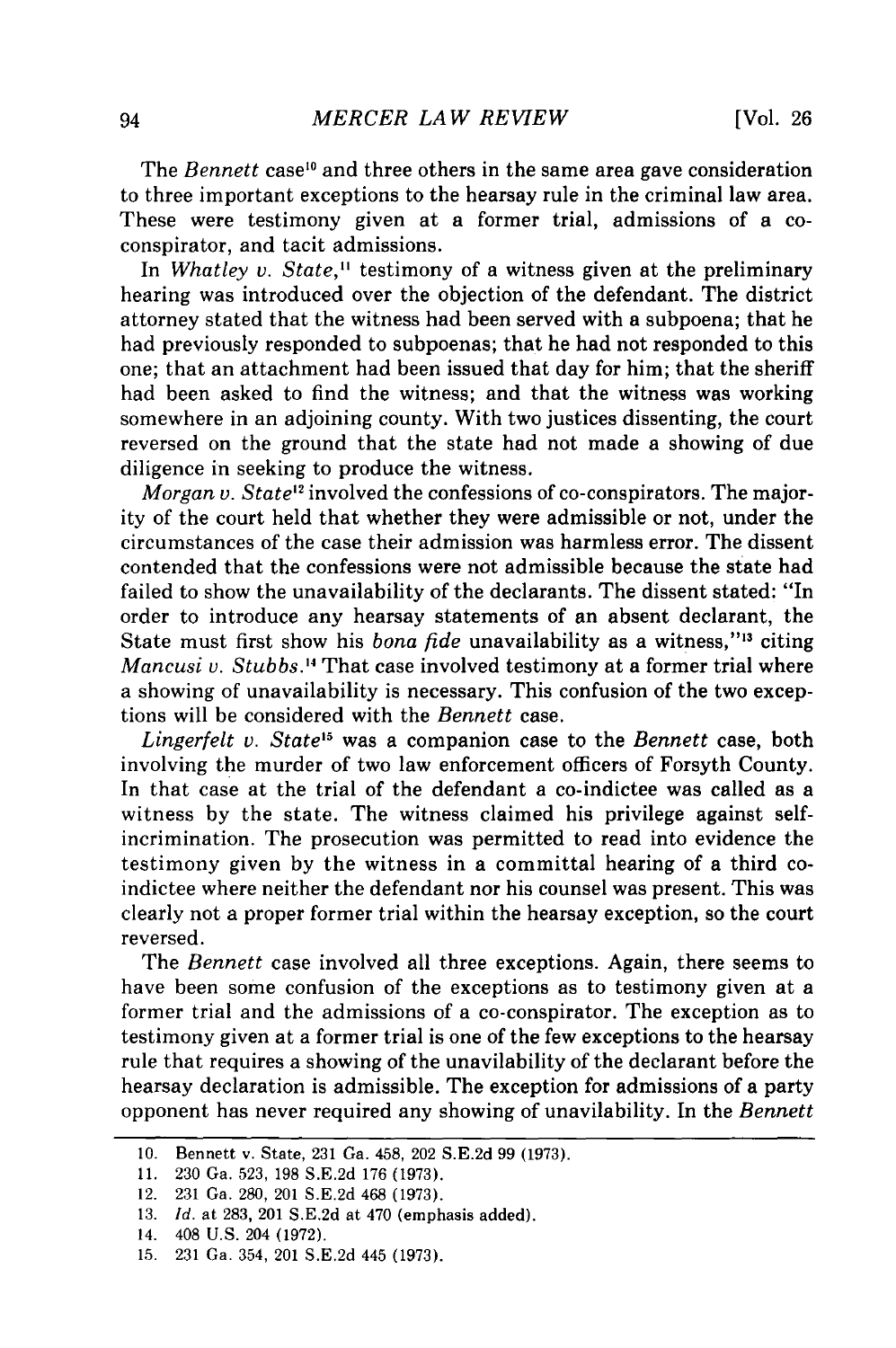The *Bennett* case<sup>10</sup> and three others in the same area gave consideration to three important exceptions to the hearsay rule in the criminal law area. These were testimony given at a former trial, admissions of a coconspirator, and tacit admissions.

In *Whatley v. State,"* testimony of a witness given at the preliminary hearing was introduced over the objection of the defendant. The district attorney stated that the witness had been served with a subpoena; that he had previously responded to subpoenas; that he had not responded to this one; that an attachment had been issued that day for him; that the sheriff had been asked to find the witness; and that the witness was working somewhere in an adjoining county. With two justices dissenting, the court reversed on the ground that the state had not made a showing of due diligence in seeking to produce the witness.

*Morgan v. State"* involved the confessions of co-conspirators. The majority of the court held that whether they were admissible or not, under the circumstances of the case their admission was harmless error. The dissent contended that the confessions were not admissible because the state had failed to show the unavailability of the declarants. The dissent stated: "In order to introduce any hearsay statements of an absent declarant, the State must first show his *bona fide* unavailability as a witness,"<sup>13</sup> citing *Mancusi v. Stubbs.'4* That case involved testimony at a former trial where a showing of unavailability is necessary. This confusion of the two exceptions will be considered with the *Bennett* case.

*Lingerfelt v. State'5* was a companion case to the *Bennett* case, both involving the murder of two law enforcement officers of Forsyth County. In that case at the trial of the defendant a co-indictee was called as a witness by the state. The witness claimed his privilege against selfincrimination. The prosecution was permitted to read into evidence the testimony given by the witness in a committal hearing of a third coindictee where neither the defendant nor his counsel was present. This was clearly not a proper former trial within the hearsay exception, so the court reversed.

The *Bennett* case involved all three exceptions. Again, there seems to have been some confusion of the exceptions as to testimony given at a former trial and the admissions of a co-conspirator. The exception as to testimony given at a former trial is one of the few exceptions to the hearsay rule that requires a showing of the unavilability of the declarant before the hearsay declaration is admissible. The exception for admissions of a party opponent has never required any showing of unavilability. In the *Bennett*

<sup>10.</sup> Bennett v. State, 231 Ga. 458, 202 S.E.2d 99 (1973).

**<sup>11.</sup>** 230 Ga. 523, 198 S.E.2d 176 (1973).

<sup>12. 231</sup> Ga. 280, 201 S.E.2d 468 (1973).

<sup>13.</sup> *Id.* at 283, 201 S.E.2d at 470 (emphasis added).

<sup>14. 408</sup> U.S. 204 (1972).

<sup>15. 231</sup> Ga. 354, 201 S.E.2d 445 (1973).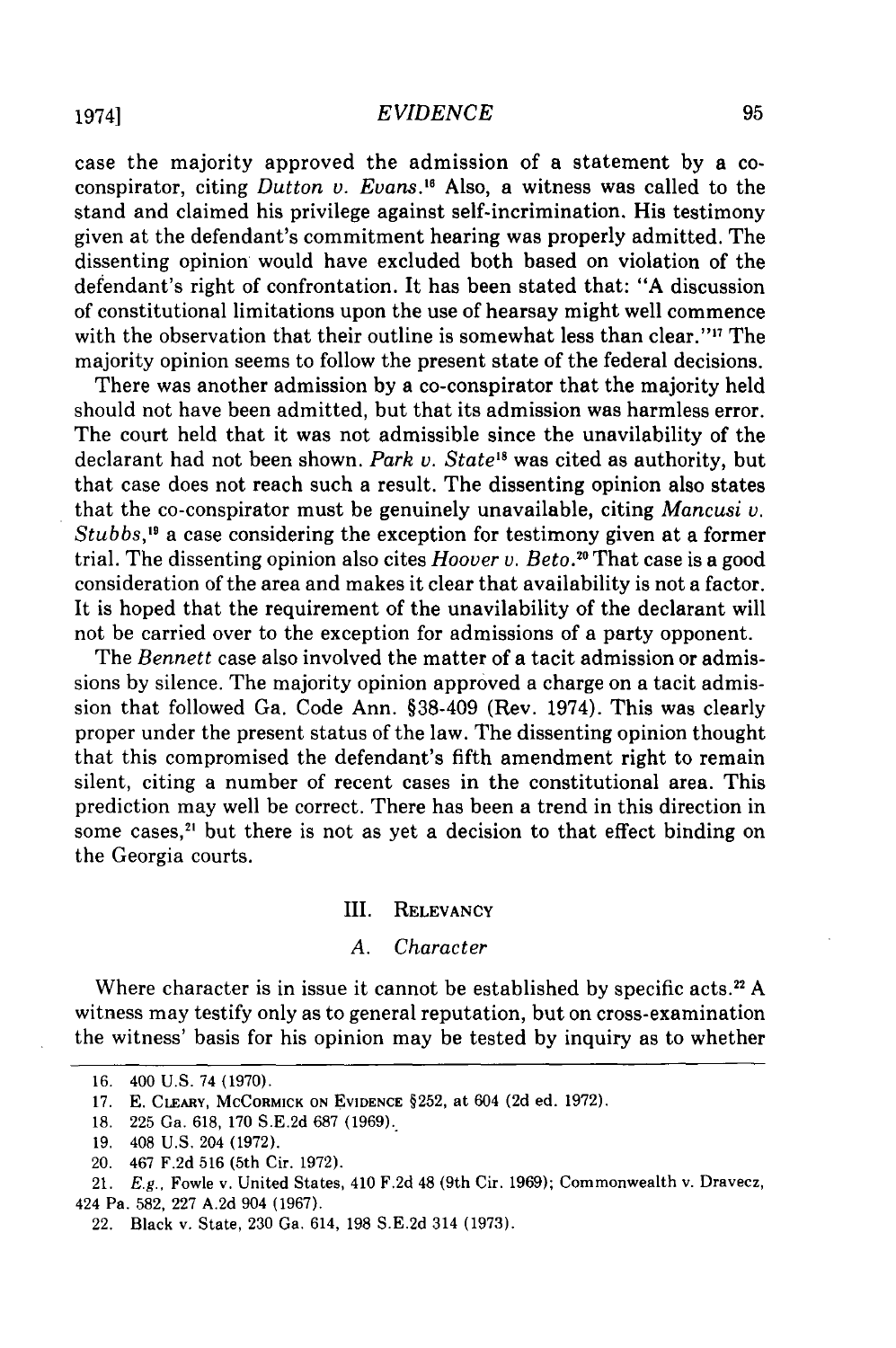case the majority approved the admission of a statement by a coconspirator, citing *Dutton v. Evans.'"* Also, a witness was called to the stand and claimed his privilege against self-incrimination. His testimony given at the defendant's commitment hearing was properly admitted. The dissenting opinion would have excluded both based on violation of the defendant's right of confrontation. It has been stated that: "A discussion of constitutional limitations upon the use of hearsay might well commence with the observation that their outline is somewhat less than clear."'" The majority opinion seems to follow the present state of the federal decisions.

There was another admission by a co-conspirator that the majority held should not have been admitted, but that its admission was harmless error. The court held that it was not admissible since the unavilability of the declarant had not been shown. *Park v. State"* was cited as authority, but that case does not reach such a result. The dissenting opinion also states that the co-conspirator must be genuinely unavailable, citing *Mancusi v. Stubbs,'"* a case considering the exception for testimony given at a former trial. The dissenting opinion also cites *Hoover v. Beto. <sup>0</sup>*That case is a good consideration of the area and makes it clear that availability is not a factor. It is hoped that the requirement of the unavilability of the declarant will not be carried over to the exception for admissions of a party opponent.

The *Bennett* case also involved the matter of a tacit admission or admissions by silence. The majority opinion approved a charge on a tacit admission that followed Ga. Code Ann. §38-409 (Rev. 1974). This was clearly proper under the present status of the law. The dissenting opinion thought that this compromised the defendant's fifth amendment right to remain silent, citing a number of recent cases in the constitutional area. This prediction may well be correct. There has been a trend in this direction in some cases,<sup>21</sup> but there is not as yet a decision to that effect binding on the Georgia courts.

#### III. RELEVANCY

#### *A. Character*

Where character is in issue it cannot be established **by** specific acts.<sup>2</sup>**A** witness may testify only as to general reputation, but on cross-examination the witness' basis for his opinion may be tested **by** inquiry as to whether

**<sup>16.</sup>** 400 **U.S.** 74 **(1970).**

**<sup>17.</sup>** E. **CLEARY, MCCORMICK ON EVIDENCE** §252, at 604 **(2d** ed. **1972).**

**<sup>18. 225</sup> Ga. 618, 170 S.E.2d 687 (1969).**

**<sup>19.</sup>** 408 **U.S.** 204 **(1972).**

<sup>20. 467</sup> **F.2d 516** (5th Cir. **1972).**

<sup>21.</sup> **E.g.,** Fowle v. United States, 410 **F.2d** 48 (9th Cir. **1969);** Commonwealth v. Dravecz, 424 Pa. **582, 227 A.2d** 904 **(1967).**

<sup>22.</sup> Black v. State, **230** Ga. 614, **198 S.E.2d** 314 **(1973).**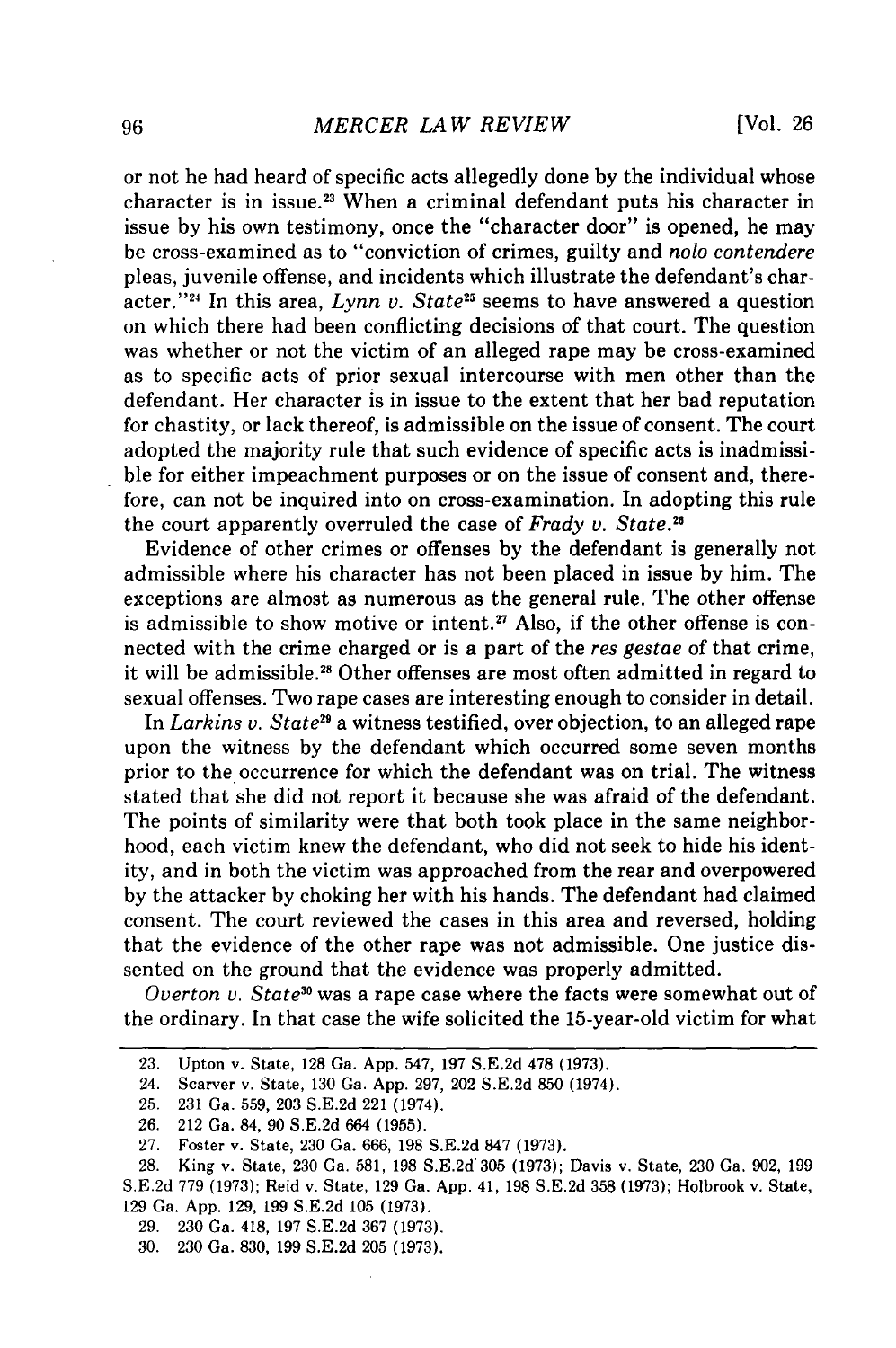or not he had heard of specific acts allegedly done by the individual whose character is in issue.<sup>23</sup> When a criminal defendant puts his character in issue by his own testimony, once the "character door" is opened, he may be cross-examined as to "conviction of crimes, guilty and nolo *contendere* pleas, juvenile offense, and incidents which illustrate the defendant's character."<sup>24</sup> In this area,  $Lynn$  v. State<sup>25</sup> seems to have answered a question on which there had been conflicting decisions of that court. The question was whether or not the victim of an alleged rape may be cross-examined as to specific acts of prior sexual intercourse with men other than the defendant. Her character is in issue to the extent that her bad reputation for chastity, or lack thereof, is admissible on the issue of consent. The court adopted the majority rule that such evidence of specific acts is inadmissible for either impeachment purposes or on the issue of consent and, therefore, can not be inquired into on cross-examination. In adopting this rule the court apparently overruled the case of *Frady v. State. <sup>6</sup>*

Evidence of other crimes or offenses by the defendant is generally not admissible where his character has not been placed in issue by him. The exceptions are almost as numerous as the general rule. The other offense is admissible to show motive or intent.<sup>27</sup> Also, if the other offense is connected with the crime charged or is a part of the res gestae of that crime, it will be admissible.<sup>28</sup> Other offenses are most often admitted in regard to sexual offenses. Two rape cases are interesting enough to consider in detail.

In *Larkins v. State9* a witness testified, over objection, to an alleged rape upon the witness by the defendant which occurred some seven months prior to the occurrence for which the defendant was on trial. The witness stated that she did not report it because she was afraid of the defendant. The points of similarity were that both took place in the same neighborhood, each victim knew the defendant, who did not seek to hide his identity, and in both the victim was approached from the rear and overpowered by the attacker by choking her with his hands. The defendant had claimed consent. The court reviewed the cases in this area and reversed, holding that the evidence of the other rape was not admissible. One justice dissented on the ground that the evidence was properly admitted.

*Overton v. State"* was a rape case where the facts were somewhat out of the ordinary. In that case the wife solicited the 15-year-old victim for what

29. 230 Ga. 418, 197 S.E.2d 367 (1973).

30. 230 Ga. 830, 199 S.E.2d 205 (1973).

<sup>23.</sup> Upton v. State, 128 Ga. App. 547, 197 S.E.2d 478 (1973).

<sup>24.</sup> Scarver v. State, 130 Ga. App. 297, 202 S.E.2d 850 (1974).

<sup>25. 231</sup> Ga. 559, 203 S.E.2d 221 (1974).

<sup>26. 212</sup> Ga. 84, 90 S.E.2d 664 (1955).

<sup>27.</sup> Foster v. State, 230 Ga. 666, 198 S.E.2d 847 (1973).

<sup>28.</sup> King v. State, 230 Ga. 581, 198 S.E.2d'305 (1973); Davis v. State, 230 Ga. 902, 199 S.E.2d 779 (1973); Reid v. State, 129 Ga. App. 41, 198 S.E.2d 358 (1973); Holbrook v. State, 129 Ga. App. 129, 199 S.E.2d 105 (1973).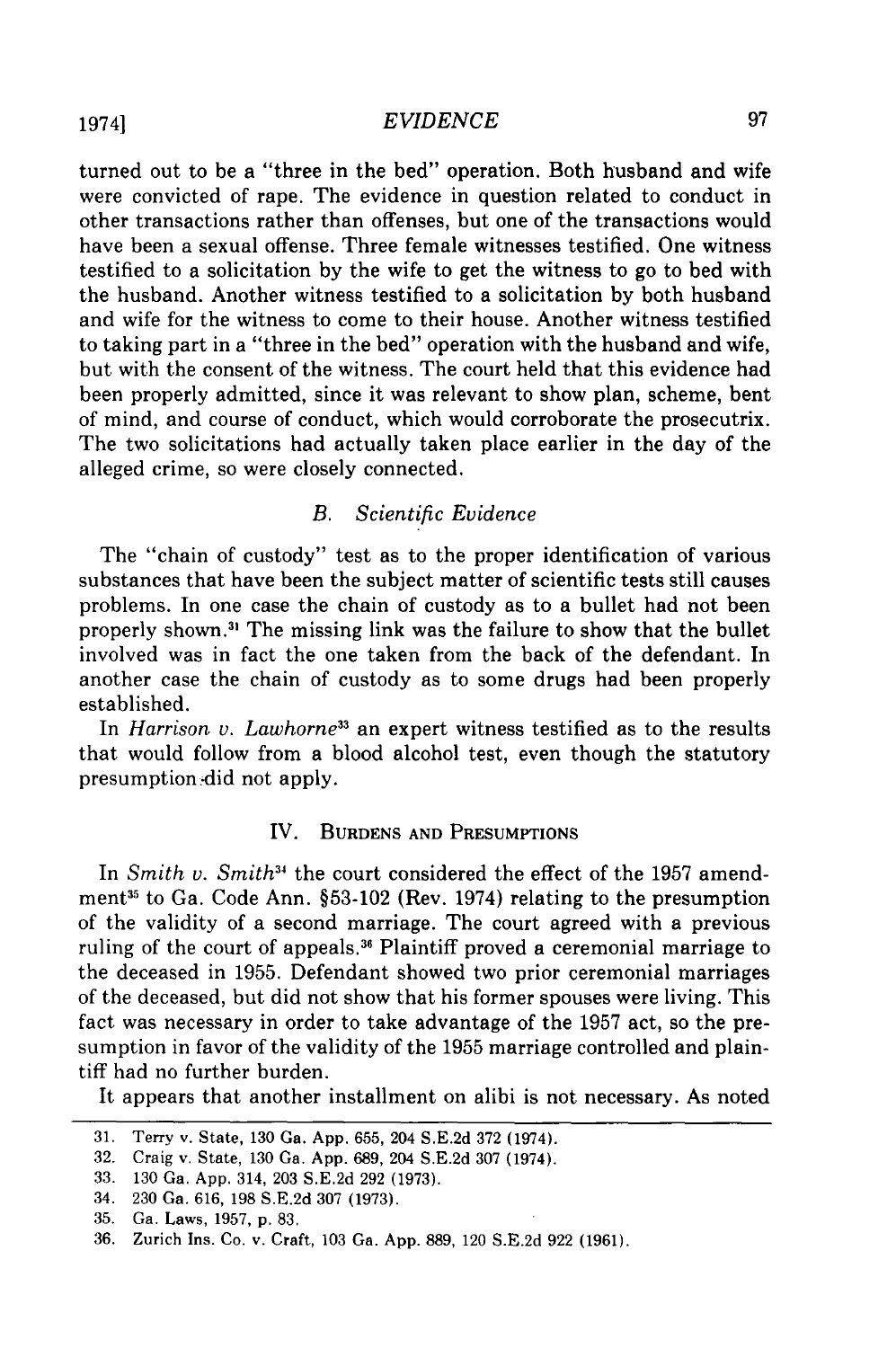turned out to be a "three in the bed" operation. Both husband and wife were convicted of rape. The evidence in question related to conduct in other transactions rather than offenses, but one of the transactions would have been a sexual offense. Three female witnesses testified. One witness testified to a solicitation by the wife to get the witness to go to bed with the husband. Another witness testified to a solicitation by both husband and wife for the witness to come to their house. Another witness testified to taking part in a "three in the bed" operation with the husband and wife, but with the consent of the witness. The court held that this evidence had been properly admitted, since it was relevant to show plan, scheme, bent of mind, and course of conduct, which would corroborate the prosecutrix. The two solicitations had actually taken place earlier in the day of the alleged crime, so were closely connected.

# *B. Scientific Evidence*

The "chain of custody" test as to the proper identification of various substances that have been the subject matter of scientific tests still causes problems. In one case the chain of custody as to a bullet had not been properly shown. 3' The missing link was the failure to show that the bullet involved was in fact the one taken from the back of the defendant. In another case the chain of custody as to some drugs had been properly established.

In *Harrison v. Lawhorne33* an expert witness testified as to the results that would follow from a blood alcohol test, even though the statutory presumption .did not apply.

## IV. **BURDENS AND** PRESUMPTIONS

In *Smith v. Smith <sup>4</sup>*the court considered the effect of the **1957** amendment<sup>35</sup> to Ga. Code Ann. §53-102 (Rev. 1974) relating to the presumption of the validity of a second marriage. The court agreed with a previous ruling of the court of appeals.<sup>36</sup> Plaintiff proved a ceremonial marriage to the deceased in **1955.** Defendant showed two prior ceremonial marriages of the deceased, but did not show that his former spouses were living. This fact was necessary in order to take advantage of the **1957** act, so the presumption in favor of the validity of the **1955** marriage controlled and plaintiff had no further burden.

It appears that another installment on alibi is not necessary. As noted

**<sup>31.</sup>** Terry v. State, **130** Ga. **App. 655,** 204 **S.E.2d 372** (1974).

<sup>32.</sup> Craig v. State, **130** Ga. **App. 689,** 204 **S.E.2d 307** (1974).

**<sup>33. 130</sup>** Ga. **App.** 314, **203 S.E.2d 292 (1973).**

<sup>34.</sup> **230** Ga. **616, 198 S.E.2d 307 (1973).**

**<sup>35.</sup>** Ga. Laws, **1957, p. 83.**

**<sup>36.</sup>** Zurich Ins. Co. v. Craft, **103** Ga. **App. 889,** 120 **S.E.2d 922 (1961).**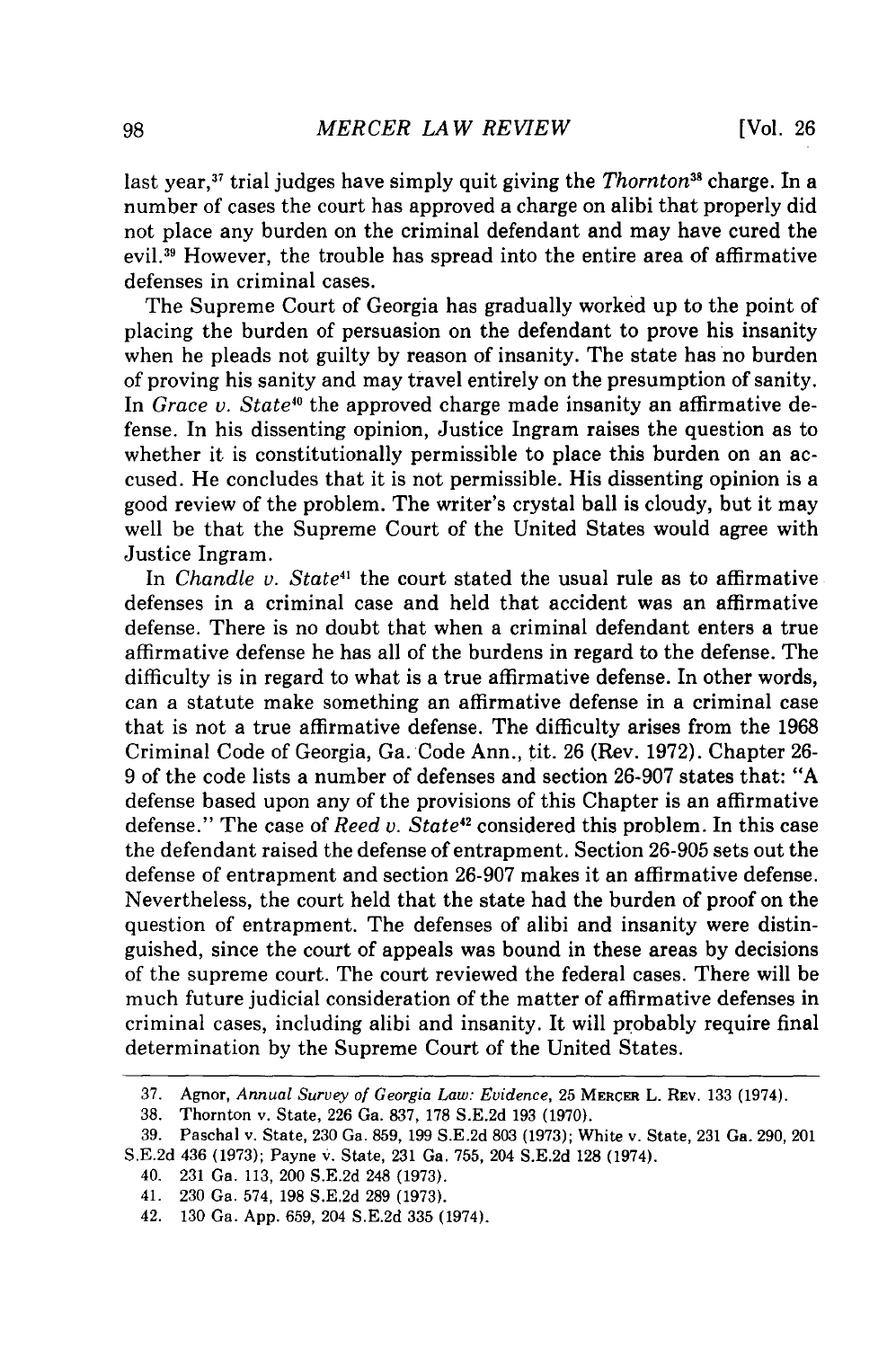last year,<sup>37</sup> trial judges have simply quit giving the *Thornton*<sup>38</sup> charge. In a number of cases the court has approved a charge on alibi that properly did not place any burden on the criminal defendant and may have cured the evil.<sup>39</sup> However, the trouble has spread into the entire area of affirmative defenses in criminal cases.

The Supreme Court of Georgia has gradually worked up to the point of placing the burden of persuasion on the defendant to prove his insanity when he pleads not guilty by reason of insanity. The state has no burden of proving his sanity and may travel entirely on the presumption of sanity. In *Grace v. State*<sup>40</sup> the approved charge made insanity an affirmative defense. In his dissenting opinion, Justice Ingram raises the question as to whether it is constitutionally permissible to place this burden on an accused. He concludes that it is not permissible. His dissenting opinion is a good review of the problem. The writer's crystal ball is cloudy, but it may well be that the Supreme Court of the United States would agree with Justice Ingram.

In *Chandle v. State41* the court stated the usual rule as to affirmative defenses in a criminal case and held that accident was an affirmative defense. There is no doubt that when a criminal defendant enters a true affirmative defense he has all of the burdens in regard to the defense. The difficulty is in regard to what is a true affirmative defense. In other words, can a statute make something an affirmative defense in a criminal case that is not a true affirmative defense. The difficulty arises from the 1968 Criminal Code of Georgia, Ga. Code Ann., tit. 26 (Rev. 1972). Chapter 26- 9 of the code lists a number of defenses and section 26-907 states that: "A defense based upon any of the provisions of this Chapter is an affirmative defense." The case of *Reed v. State"* considered this problem. In this case the defendant raised the defense of entrapment. Section 26-905 sets out the defense of entrapment and section 26-907 makes it an affirmative defense. Nevertheless, the court held that the state had the burden of proof on the question of entrapment. The defenses of alibi and insanity were distinguished, since the court of appeals was bound in these areas by decisions of the supreme court. The court reviewed the federal cases. There will be much future judicial consideration of the matter of affirmative defenses in criminal cases, including alibi and insanity. It will probably require final determination by the Supreme Court of the United States.

<sup>37.</sup> Agnor, *Annual Survey of Georgia Law: Evidence,* **25** MERcER L. REV. **133** (1974).

<sup>38.</sup> Thornton v. State, 226 Ga. 837, 178 S.E.2d 193 (1970).

<sup>39.</sup> Paschal v. State, 230 Ga. 859, 199 S.E.2d 803 (1973); White v. State, 231 Ga. 290, 201 S.E.2d 436 (1973); Payne v. State, 231 Ga. 755, 204 S.E.2d 128 (1974).

<sup>40. 231</sup> Ga. 113, 200 S.E.2d 248 (1973).

<sup>41. 230</sup> Ga. 574, 198 S.E.2d 289 (1973).

<sup>42. 130</sup> Ga. App. 659, 204 S.E.2d 335 (1974).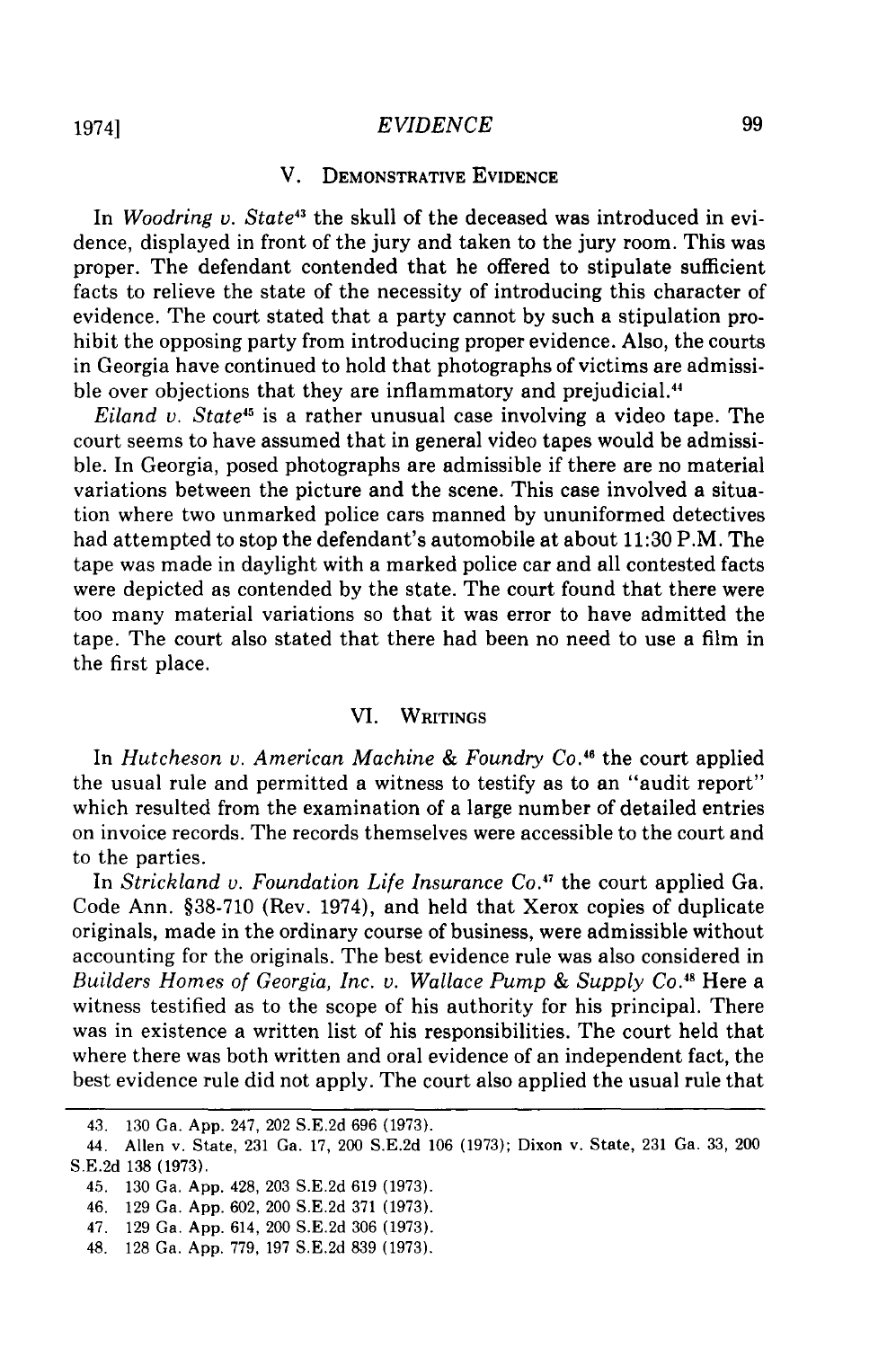## V. **DEMONSTRATIVE EVIDENCE**

In *Woodring u. State43* the skull of the deceased was introduced in evidence, displayed in front of the jury and taken to the jury room. This was proper. The defendant contended that he offered to stipulate sufficient facts to relieve the state of the necessity of introducing this character of evidence. The court stated that a party cannot **by** such a stipulation prohibit the opposing party from introducing proper evidence. Also, the courts in Georgia have continued to hold that photographs of victims are admissible over objections that they are inflammatory and prejudicial.<sup>44</sup>

*Eiland v. State*<sup>45</sup> is a rather unusual case involving a video tape. The court seems to have assumed that in general video tapes would be admissible. In Georgia, posed photographs are admissible if there are no material variations between the picture and the scene. This case involved a situation where two unmarked police cars manned **by** ununiformed detectives had attempted to stop the defendant's automobile at about **11:30** P.M. The tape was made in daylight with a marked police car and all contested facts were depicted as contended **by** the state. The court found that there were too many material variations so that it was error to have admitted the tape. The court also stated that there had been no need to use a film in the first place.

# VI. **WRITINGS**

In *Hutcheson v. American Machine & Foundry Co.46* the court applied the usual rule and permitted a witness to testify as to an "audit report" which resulted from the examination of a large number of detailed entries on invoice records. The records themselves were accessible to the court and to the parties.

In *Strickland v. Foundation Life Insurance Co.<sup>47</sup> the court applied Ga.* Code Ann. §38-710 (Rev. 1974), and held that Xerox copies of duplicate originals, made in the ordinary course of business, were admissible without accounting for the originals. The best evidence rule was also considered in *Builders Homes of Georgia, Inc. v. Wallace Pump & Supply Co.<sup>48</sup> Here a* witness testified as to the scope of his authority for his principal. There was in existence a written list of his responsibilities. The court held that where there was both written and oral evidence of an independent fact, the best evidence rule did not apply. The court also applied the usual rule that

<sup>43. 130</sup> Ga. App. 247, 202 S.E.2d 696 (1973).

<sup>44.</sup> Allen v. State, 231 Ga. 17, 200 S.E.2d 106 (1973); Dixon v. State, 231 Ga. 33, 200 S.E.2d 138 (1973).

<sup>45. 130</sup> Ga. App. 428, 203 S.E.2d 619 (1973).

<sup>46. 129</sup> Ga. App. 602, 200 S.E.2d 371 (1973).

<sup>47. 129</sup> Ga. App. 614, 200 S.E.2d 306 (1973).

<sup>48. 128</sup> Ga. App. 779, 197 S.E.2d 839 (1973).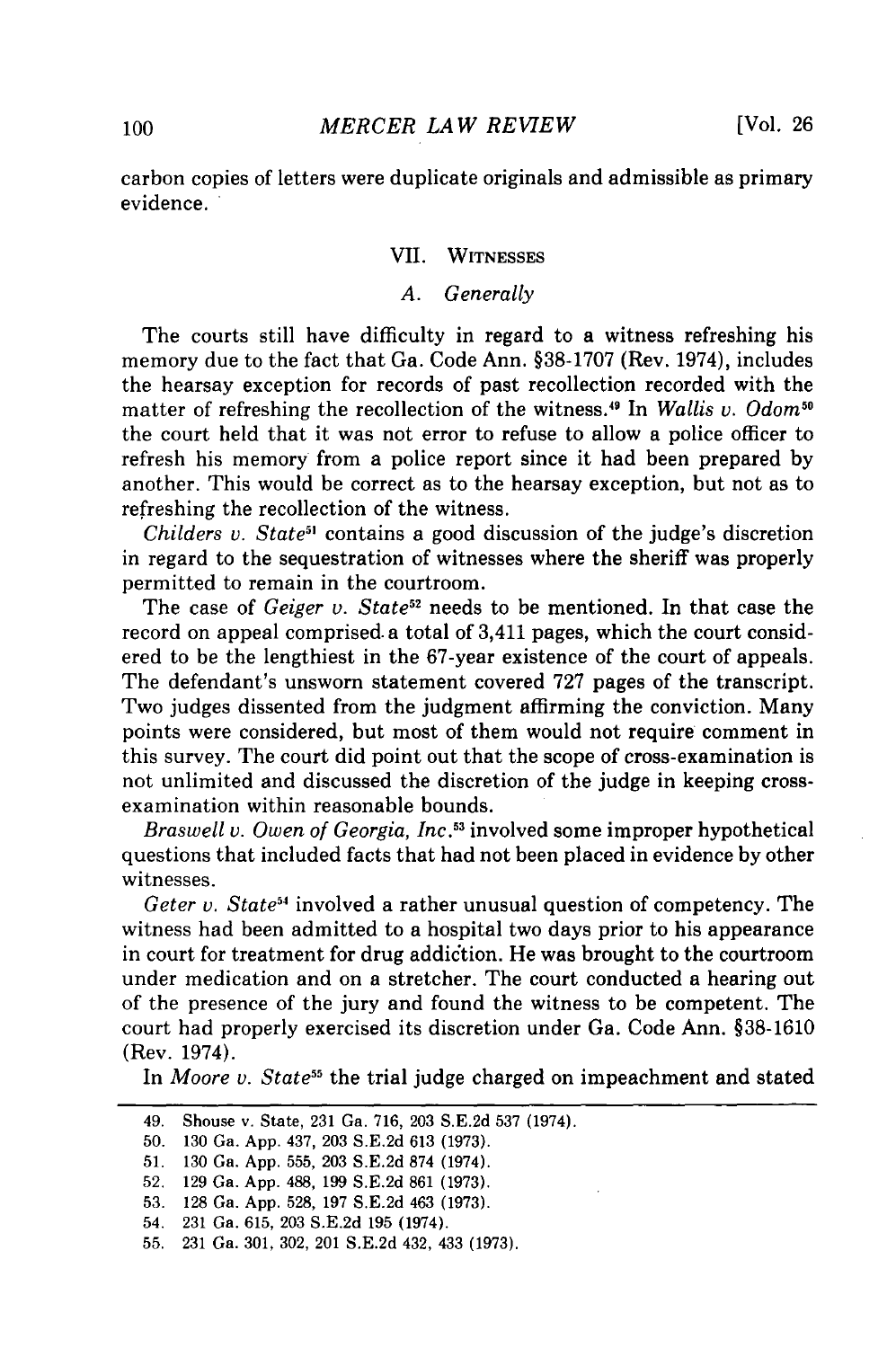carbon copies of letters were duplicate originals and admissible as primary evidence.

# **VII.** WITNESSES

## *A. Generally*

The courts still have difficulty in regard to a witness refreshing his memory due to the fact that Ga. Code Ann. §38-1707 (Rev. 1974), includes the hearsay exception for records of past recollection recorded with the matter of refreshing the recollection of the witness.<sup>49</sup> In *Wallis v. Odom<sup>5</sup>* the court held that it was not error to refuse to allow a police officer to refresh his memory from a police report since it had been prepared by another. This would be correct as to the hearsay exception, but not as to refreshing the recollection of the witness.

*Childers v. State<sup>51</sup>* contains a good discussion of the judge's discretion in regard to the sequestration of witnesses where the sheriff was properly permitted to remain in the courtroom.

The case of *Geiger v. State*<sup>52</sup> needs to be mentioned. In that case the record on appeal comprised a total of 3,411 pages, which the court considered to be the lengthiest in the 67-year existence of the court of appeals. The defendant's unsworn statement covered 727 pages of the transcript. Two judges dissented from the judgment affirming the conviction. Many points were considered, but most of them would not require comment in this survey. The court did point out that the scope of cross-examination is not unlimited and discussed the discretion of the judge in keeping crossexamination within reasonable bounds.

*Braswell v. Owen of Georgia, Inc.5 <sup>3</sup>*involved some improper hypothetical questions that included facts that had not been placed in evidence by other witnesses.

*Geter v. State54* involved a rather unusual question of competency. The witness had been admitted to a hospital two days prior to his appearance in court for treatment for drug addiction. He was brought to the courtroom under medication and on a stretcher. The court conducted a hearing out of the presence of the jury and found the witness to be competent. The court had properly exercised its discretion under Ga. Code Ann. §38-1610 (Rev. 1974).

In *Moore v. State55* the trial judge charged on impeachment and stated

<sup>49.</sup> Shouse v. State, 231 Ga. 716, 203 S.E.2d 537 (1974).

<sup>50. 130</sup> Ga. App. 437, 203 S.E.2d 613 (1973).

<sup>51. 130</sup> Ga. App. 555, 203 S.E.2d 874 (1974).

<sup>52. 129</sup> Ga. App. 488, 199 S.E.2d 861 (1973). 53. 128 Ga. App. 528, 197 S.E.2d 463 (1973).

<sup>54. 231</sup> Ga. 615, 203 S.E.2d 195 (1974).

<sup>55.</sup> 231 Ga. 301, 302, 201 S.E.2d 432, 433 (1973).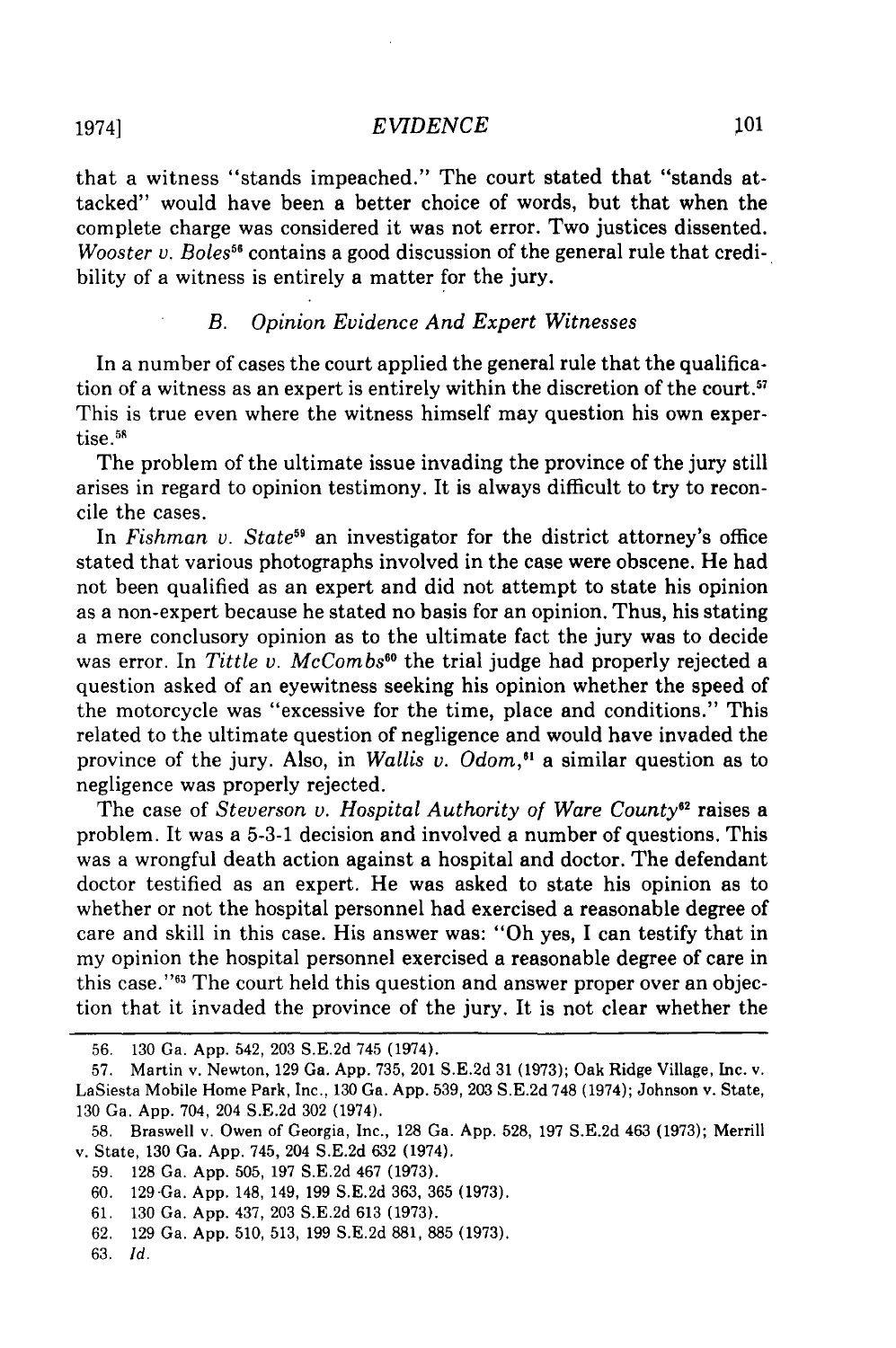that a witness "stands impeached." The court stated that "stands attacked" would have been a better choice of words, but that when the complete charge was considered it was not error. Two justices dissented. *Wooster v. Boles*<sup>56</sup> contains a good discussion of the general rule that credibility of a witness is entirely a matter for the jury.

# *B. Opinion Evidence And Expert Witnesses*

In a number of cases the court applied the general rule that the qualification of a witness as an expert is entirely within the discretion of the court.<sup>57</sup> This is true even where the witness himself may question his own exper $t$ ise. $56$ 

The problem of the ultimate issue invading the province of the jury still arises in regard to opinion testimony. It is always difficult to try to reconcile the cases.

In *Fishman v. State59* an investigator for the district attorney's office stated that various photographs involved in the case were obscene. He had not been qualified as an expert and did not attempt to state his opinion as a non-expert because he stated no basis for an opinion. Thus, his stating a mere conclusory opinion as to the ultimate fact the jury was to decide was error. In *Tittle v. McCombs<sup>60</sup>* the trial judge had properly rejected a question asked of an eyewitness seeking his opinion whether the speed of the motorcycle was "excessive for the time, place and conditions." This related to the ultimate question of negligence and would have invaded the province of the jury. Also, in *Wallis v. Odom*,<sup>61</sup> a similar question as to negligence was properly rejected.

The case of *Steverson v. Hospital Authority of Ware County62* raises a problem. It was a 5-3-1 decision and involved a number of questions. This was a wrongful death action against a hospital and doctor. The defendant doctor testified as an expert. He was asked to state his opinion as to whether or not the hospital personnel had exercised a reasonable degree of care and skill in this case. His answer was: "Oh yes, I can testify that in my opinion the hospital personnel exercised a reasonable degree of care in this case."<sup>43</sup> The court held this question and answer proper over an objection that it invaded the province of the jury. It is not clear whether the

<sup>56. 130</sup> Ga. App. 542, 203 S.E.2d 745 (1974).

<sup>57.</sup> Martin v. Newton, 129 Ga. App. 735, 201 S.E.2d 31 (1973); Oak Ridge Village, Inc. v. LaSiesta Mobile Home Park, Inc., 130 Ga. App. 539, 203 S.E.2d 748 (1974); Johnson v. State, 130 Ga. App. 704, 204 S.E.2d 302 (1974).

<sup>58.</sup> Braswell v. Owen of Georgia, Inc., 128 Ga. App. 528, 197 S.E.2d 463 (1973); Merrill v. State, 130 Ga. App. 745, 204 S.E.2d 632 (1974).

<sup>59. 128</sup> Ga. App. 505, 197 S.E.2d 467 (1973).

<sup>60. 129</sup> Ga. App. 148, 149, 199 S.E.2d 363, 365 (1973).

<sup>61. 130</sup> Ga. App. 437, 203 S.E.2d 613 (1973).

<sup>62. 129</sup> Ga. App. 510, 513, 199 S.E.2d 881, 885 (1973).

<sup>63.</sup> *Id.*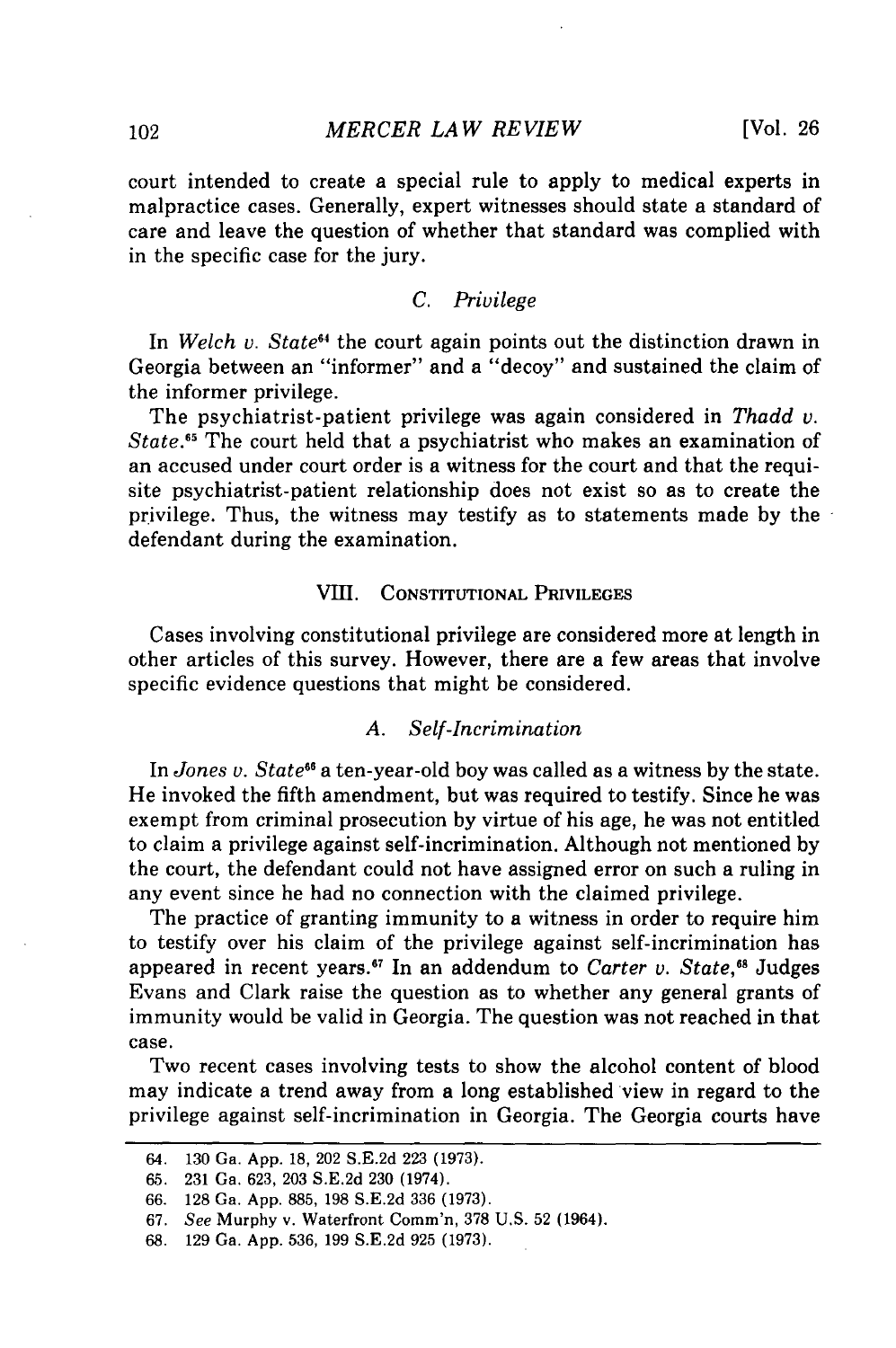court intended to create a special rule to apply to medical experts in malpractice cases. Generally, expert witnesses should state a standard of care and leave the question of whether that standard was complied with in the specific case for the jury.

# *C. Privilege*

In *Welch v. State<sup>64</sup>* the court again points out the distinction drawn in Georgia between an "informer" and a "decoy" and sustained the claim of the informer privilege.

The psychiatrist-patient privilege was again considered in *Thadd v. State.65* The court held that a psychiatrist who makes an examination of an accused under court order is a witness for the court and that the requisite psychiatrist-patient relationship does not exist so as to create the privilege. Thus, the witness may testify as to statements made by the defendant during the examination.

## VIII. **CONSTITUTIONAL** PRIVILEGES

Cases involving constitutional privilege are considered more at length in other articles of this survey. However, there are a few areas that involve specific evidence questions that might be considered.

## *A. Self-Incrimination*

In *Jones v. State6* a ten-year-old boy was called as a witness by the state. He invoked the fifth amendment, but was required to testify. Since he was exempt from criminal prosecution by virtue of his age, he was not entitled to claim a privilege against self-incrimination. Although not mentioned by the court, the defendant could not have assigned error on such a ruling in any event since he had no connection with the claimed privilege.

The practice of granting immunity to a witness in order to require him to testify over his claim of the privilege against self-incrimination has appeared in recent years.67 In an addendum to *Carter v. State,"8* Judges Evans and Clark raise the question as to whether any general grants of immunity would be valid in Georgia. The question was not reached in that case.

Two recent cases involving tests to show the alcohol content of blood may indicate a trend away from a long established view in regard to the privilege against self-incrimination in Georgia. The Georgia courts have

<sup>64. 130</sup> Ga. App. 18, 202 S.E.2d 223 (1973).

<sup>65. 231</sup> Ga. 623, 203 S.E.2d 230 (1974).

<sup>66. 128</sup> Ga. App. 885, 198 S.E.2d 336 (1973).

<sup>67.</sup> See Murphy v. Waterfront Comm'n, 378 U.S. 52 (1964).

<sup>68. 129</sup> Ga. App. 536, 199 S.E.2d 925 (1973).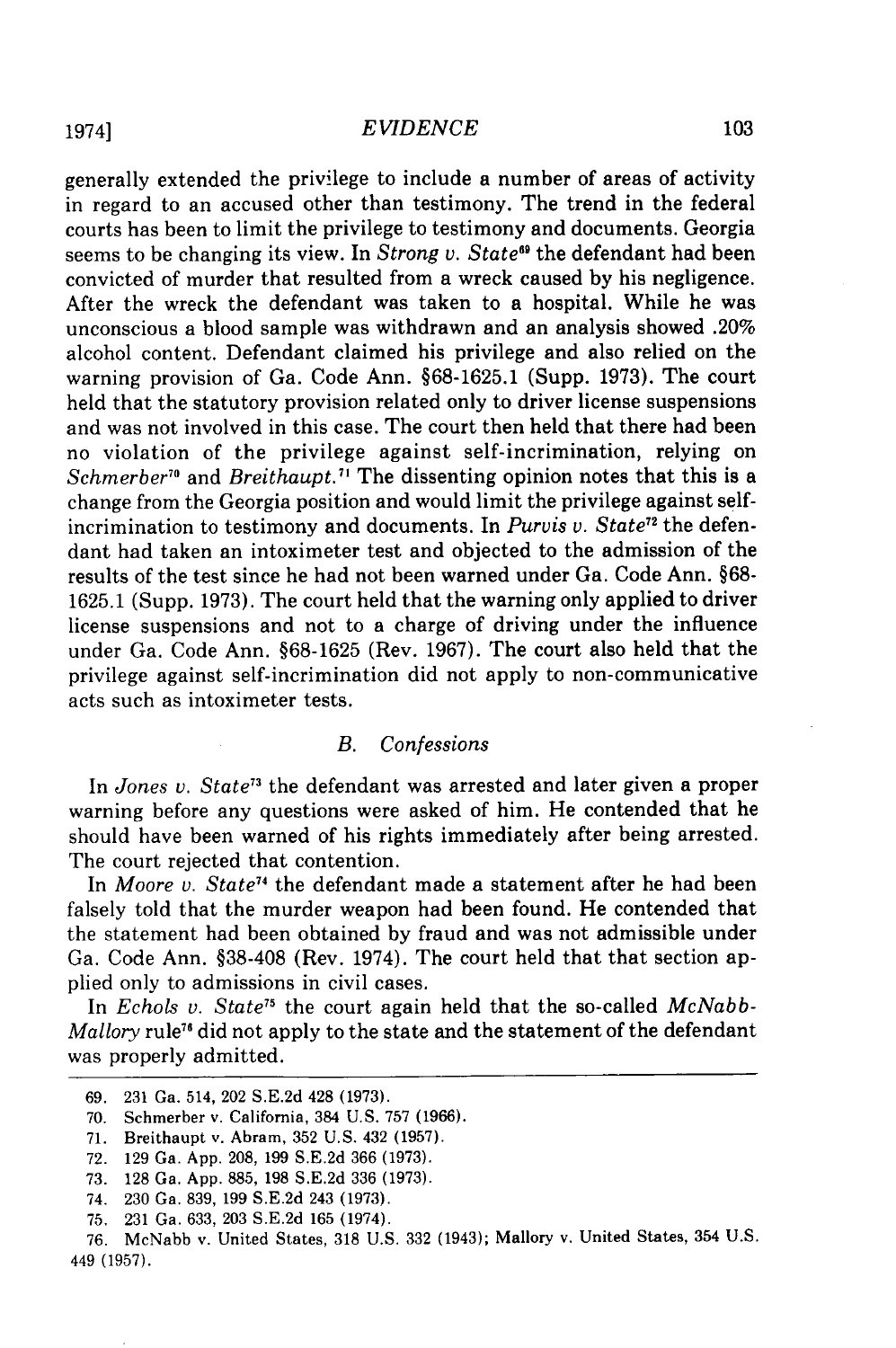generally extended the privilege to include a number of areas of activity in regard to an accused other than testimony. The trend in the federal courts has been to limit the privilege to testimony and documents. Georgia seems to be changing its view. In *Strong v. State<sup>69</sup>* the defendant had been convicted of murder that resulted from a wreck caused by his negligence. After the wreck the defendant was taken to a hospital. While he was unconscious a blood sample was withdrawn and an analysis showed .20% alcohol content. Defendant claimed his privilege and also relied on the warning provision of Ga. Code Ann. §68-1625.1 (Supp. 1973). The court held that the statutory provision related only to driver license suspensions and was not involved in this case. The court then held that there had been no violation of the privilege against self-incrimination, relying on *Schmerber<sup>10</sup>* and *Breithaupt.<sup>71</sup>* The dissenting opinion notes that this is a change from the Georgia position and would limit the privilege against selfincrimination to testimony and documents. In *Purvis v. State*<sup>72</sup> the defendant had taken an intoximeter test and objected to the admission of the results of the test since he had not been warned under Ga. Code Ann. §68- 1625.1 (Supp. 1973). The court held that the warning only applied to driver license suspensions and not to a charge of driving under the influence under Ga. Code Ann. §68-1625 (Rev. 1967). The court also held that the privilege against self-incrimination did not apply to non-communicative acts such as intoximeter tests.

# *B. Confessions*

In *Jones v. State73* the defendant was arrested and later given a proper warning before any questions were asked of him. He contended that he should have been warned of his rights immediately after being arrested. The court rejected that contention.

In *Moore v. State74* the defendant made a statement after he had been falsely told that the murder weapon had been found. He contended that the statement had been obtained by fraud and was not admissible under Ga. Code Ann. §38-408 (Rev. 1974). The court held that that section applied only to admissions in civil cases.

In *Echols v. State*<sup>75</sup> the court again held that the so-called *McNabb*-*Mallory* rule<sup>76</sup> did not apply to the state and the statement of the defendant was properly admitted.

<sup>69. 231</sup> Ga. 514, 202 S.E.2d 428 (1973).

<sup>70.</sup> Schmerber v. California, 384 U.S. 757 (1966).

<sup>71.</sup> Breithaupt v. Abram, 352 U.S. 432 (1957).

<sup>72. 129</sup> Ga. App. 208, 199 S.E.2d 366 (1973).

<sup>73. 128</sup> Ga. App. 885, 198 S.E.2d 336 (1973).

<sup>74. 230</sup> Ga. 839, 199 S.E.2d 243 (1973).

<sup>75. 231</sup> Ga. 633, 203 S.E.2d 165 (1974).

<sup>76.</sup> McNabb v. United States, 318 U.S. 332 (1943); Mallory v. United States, 354 U.S. 449 (1957).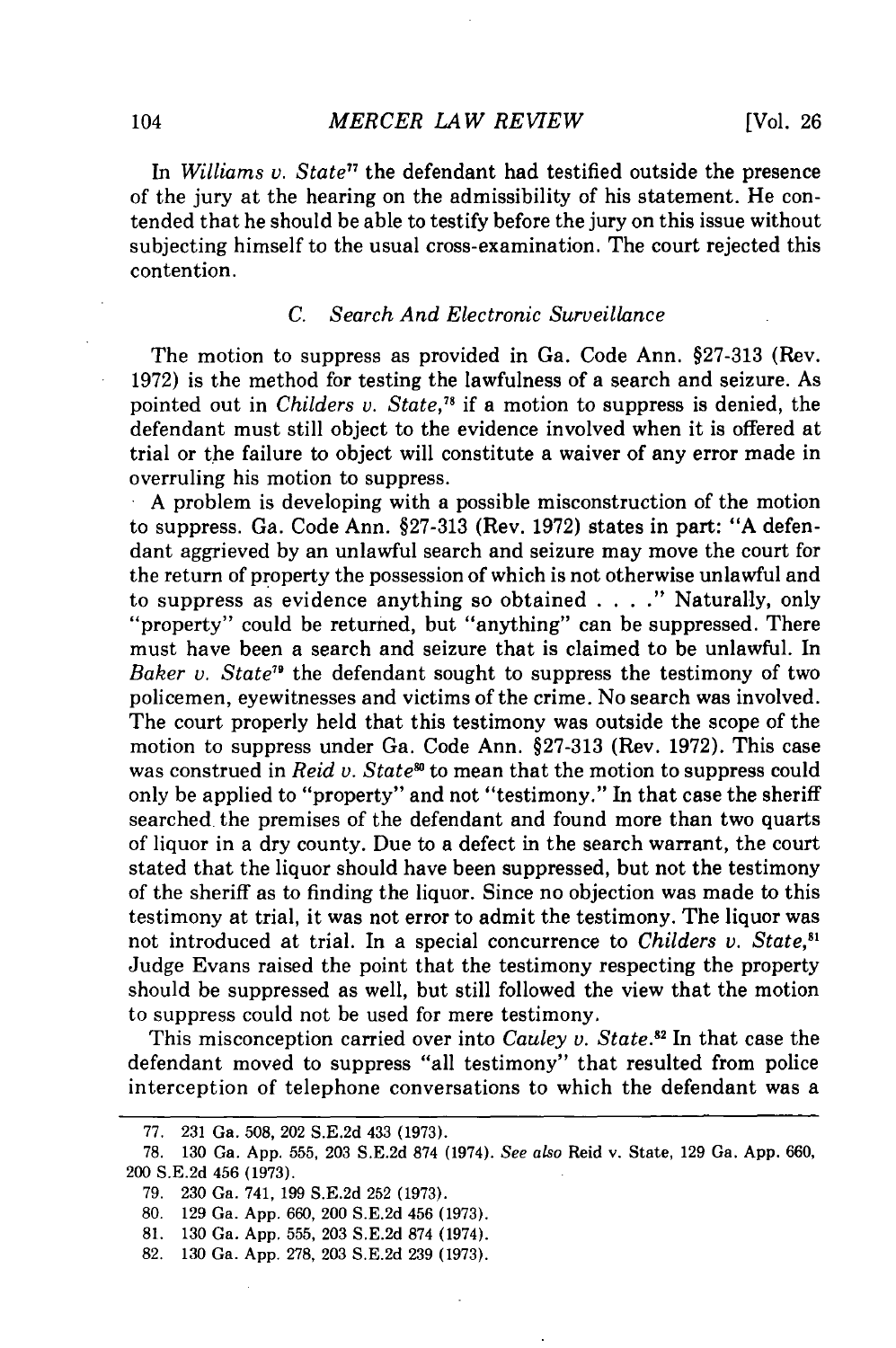In *Williams v. State"* the defendant had testified outside the presence of the jury at the hearing on the admissibility of his statement. He contended that he should be able to testify before the jury on this issue without subjecting himself to the usual cross-examination. The court rejected this contention.

## *C. Search And Electronic Surveillance*

The motion to suppress as provided in Ga. Code Ann. §27-313 (Rev. 1972) is the method for testing the lawfulness of a search and seizure. As pointed out in *Childers v. State,78* if a motion to suppress is denied, the defendant must still object to the evidence involved when it is offered at trial or the failure to object will constitute a waiver of any error made in overruling his motion to suppress.<br>A problem is developing with a possible misconstruction of the motion

to suppress. Ga. Code Ann. §27-313 (Rev. 1972) states in part: "A defendant aggrieved by an unlawful search and seizure may move the court for the return of property the possession of which is not otherwise unlawful and to suppress as evidence anything so obtained . **. . ."** Naturally, only "property" could be returned, but "anything" can be suppressed. There must have been a search and seizure that is claimed to be unlawful. In Baker *v.* State<sup>79</sup> the defendant sought to suppress the testimony of two policemen, eyewitnesses and victims of the crime. No search was involved. The court properly held that this testimony was outside the scope of the motion to suppress under Ga. Code Ann. §27-313 (Rev. 1972). This case was construed in *Reid v. State<sup>s6</sup>* to mean that the motion to suppress could only be applied to "property" and not "testimony." In that case the sheriff searched the premises of the defendant and found more than two quarts of liquor in a dry county. Due to a defect in the search warrant, the court stated that the liquor should have been suppressed, but not the testimony of the sheriff as to finding the liquor. Since no objection was made to this testimony at trial, it was not error to admit the testimony. The liquor was not introduced at trial. In a special concurrence to *Childers v. State,"'* Judge Evans raised the point that the testimony respecting the property should be suppressed as well, but still followed the view that the motion to suppress could not be used for mere testimony.

This misconception carried over into *Cauley v. State.82* In that case the defendant moved to suppress "all testimony" that resulted from police interception of telephone conversations to which the defendant was a

- 81. 130 Ga. App. 555, 203 S.E.2d 874 (1974).
- 82. 130 Ga. App. 278, 203 S.E.2d 239 (1973).

<sup>77. 231</sup> Ga. 508, 202 S.E.2d 433 (1973).

<sup>78. 130</sup> Ga. App. 555, 203 S.E.2d 874 (1974). See also Reid v. State, 129 Ga. App. 660, 200 S.E.2d 456 (1973).

<sup>79. 230</sup> Ga. 741, 199 S.E.2d 252 (1973).

<sup>80. 129</sup> Ga. App. 660, 200 S.E.2d 456 (1973).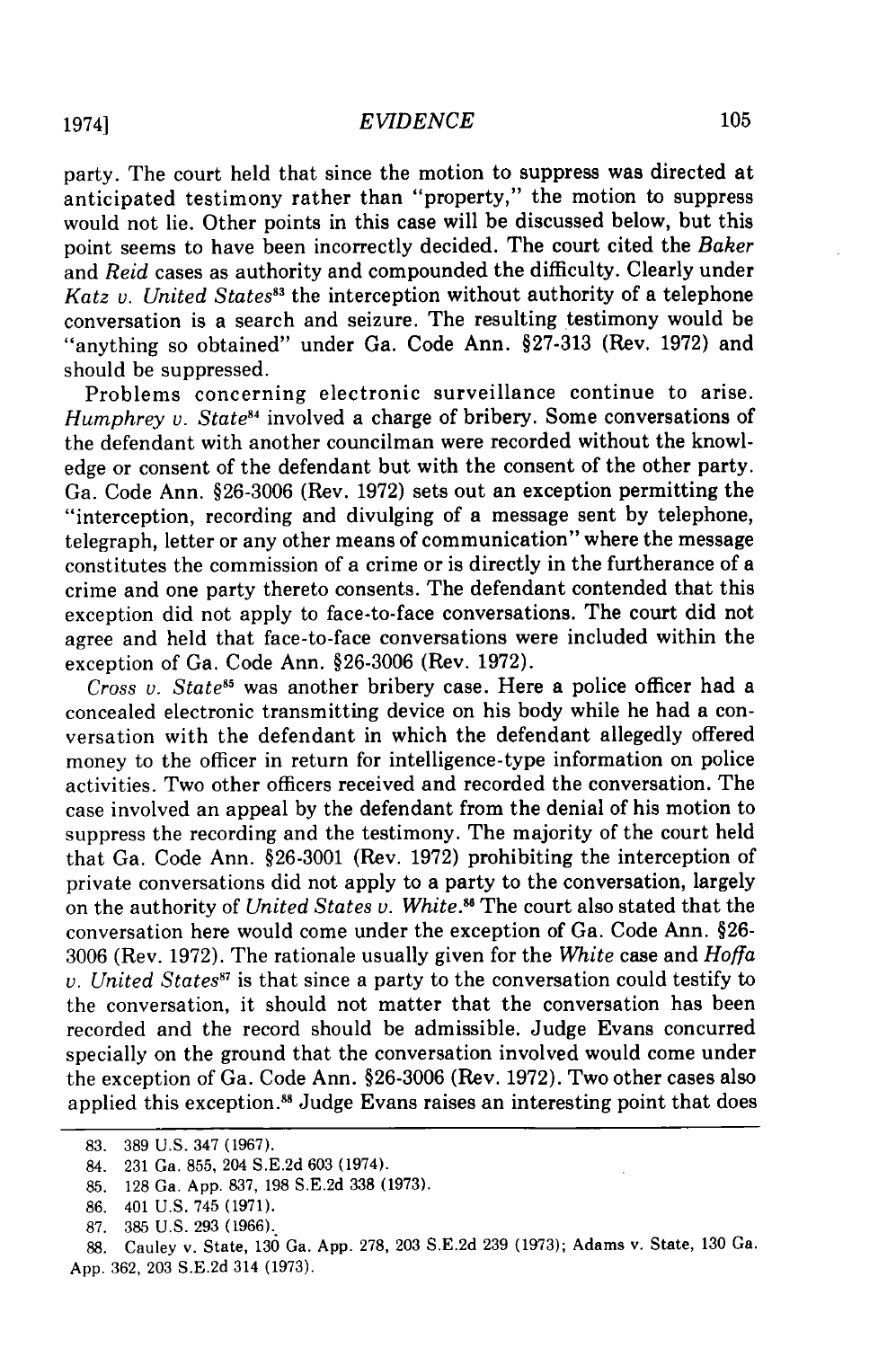party. The court held that since the motion to suppress was directed at anticipated testimony rather than "property," the motion to suppress would not lie. Other points in this case will be discussed below, but this point seems to have been incorrectly decided. The court cited the *Baker* and *Reid* cases as authority and compounded the difficulty. Clearly under *Katz v. United States"3* the interception without authority of a telephone conversation is a search and seizure. The resulting testimony would be "anything so obtained" under Ga. Code Ann. §27-313 (Rev. 1972) and should be suppressed.

Problems concerning electronic surveillance continue to arise. *Humphrey v. State<sup>84</sup>* involved a charge of bribery. Some conversations of the defendant with another councilman were recorded without the knowledge or consent of the defendant but with the consent of the other party. Ga. Code Ann. §26-3006 (Rev. 1972) sets out an exception permitting the "interception, recording and divulging of a message sent by telephone, telegraph, letter or any other means of communication" where the message constitutes the commission of a crime or is directly in the furtherance of a crime and one party thereto consents. The defendant contended that this exception did not apply to face-to-face conversations. The court did not agree and held that face-to-face conversations were included within the exception of Ga. Code Ann. §26-3006 (Rev. 1972).

*Cross v. State<sup>85</sup>* was another bribery case. Here a police officer had a concealed electronic transmitting device on his body while he had a conversation with the defendant in which the defendant allegedly offered money to the officer in return for intelligence-type information on police activities. Two other officers received and recorded the conversation. The case involved an appeal by the defendant from the denial of his motion to suppress the recording and the testimony. The majority of the court held that Ga. Code Ann. §26-3001 (Rev. 1972) prohibiting the interception of private conversations did not apply to a party to the conversation, largely on the authority of *United States v. White."6* The court also stated that the conversation here would come under the exception of Ga. Code Ann. §26- 3006 (Rev. 1972). The rationale usually given for the White case and *Hoffa v. United States<sup>87</sup>* is that since a party to the conversation could testify to the conversation, it should not matter that the conversation has been recorded and the record should be admissible. Judge Evans concurred specially on the ground that the conversation involved would come under the exception of Ga. Code Ann. §26-3006 (Rev. 1972). Two other cases also applied this exception.<sup>88</sup> Judge Evans raises an interesting point that does

<sup>83. 389</sup> U.S. 347 (1967).

<sup>84. 231</sup> Ga. 855, 204 S.E.2d 603 (1974).

<sup>85. 128</sup> Ga. App. 837, 198 S.E.2d 338 (1973).

<sup>86. 401</sup> U.S. 745 (1971).

<sup>87. 385</sup> U.S. 293 (1966).

<sup>88.</sup> Cauley v. State, 130 Ga. App. 278, 203 S.E.2d 239 (1973); Adams v. State, 130 Ga. App. 362, 203 S.E.2d 314 (1973).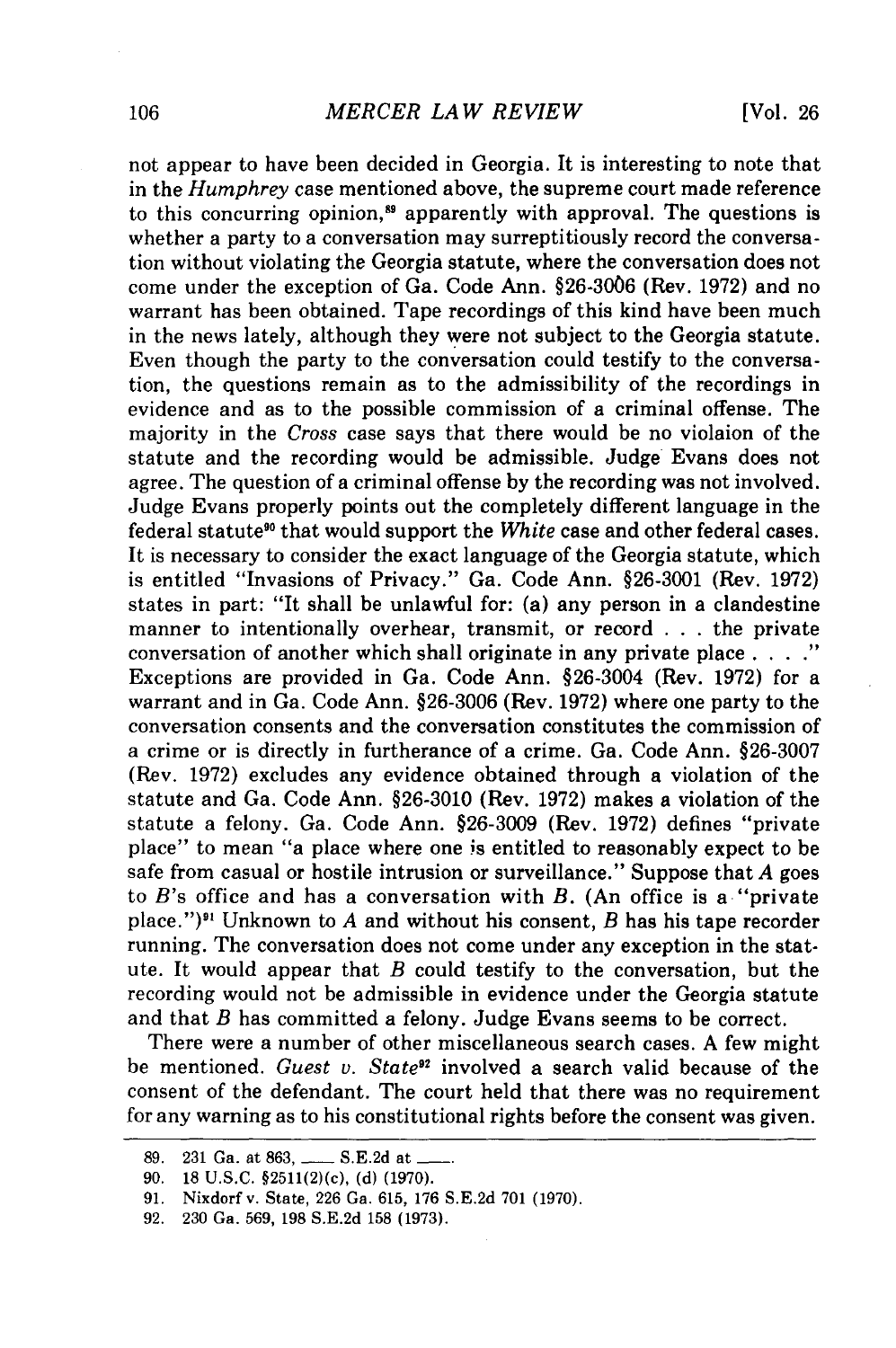not appear to have been decided in Georgia. It is interesting to note that in the *Humphrey* case mentioned above, the supreme court made reference to this concurring opinion,<sup>89</sup> apparently with approval. The questions is whether a party to a conversation may surreptitiously record the conversation without violating the Georgia statute, where the conversation does not come under the exception of Ga. Code Ann. §26-3006 (Rev. 1972) and no warrant has been obtained. Tape recordings of this kind have been much in the news lately, although they were not subject to the Georgia statute. Even though the party to the conversation could testify to the conversation, the questions remain as to the admissibility of the recordings in evidence and as to the possible commission of a criminal offense. The majority in the *Cross* case says that there would be no violaion of the statute and the recording would be admissible. Judge Evans does not agree. The question of a criminal offense by the recording was not involved. Judge Evans properly points out the completely different language in the federal statute" that would support the *White* case and other federal cases. It is necessary to consider the exact language of the Georgia statute, which is entitled "Invasions of Privacy." Ga. Code Ann. §26-3001 (Rev. 1972) states in part: "It shall be unlawful for: (a) any person in a clandestine manner to intentionally overhear, transmit, or record . . . the private conversation of another which shall originate in any private place . **.. ."** Exceptions are provided in Ga. Code Ann. §26-3004 (Rev. 1972) for a warrant and in Ga. Code Ann. §26-3006 (Rev. 1972) where one party to the conversation consents and the conversation constitutes the commission of a crime or is directly in furtherance of a crime. Ga. Code Ann. §26-3007 (Rev. 1972) excludes any evidence obtained through a violation of the statute and Ga. Code Ann. §26-3010 (Rev. 1972) makes a violation of the statute a felony. Ga. Code Ann. §26-3009 (Rev. 1972) defines "private place" to mean "a place where one is entitled to reasonably expect to be safe from casual or hostile intrusion or surveillance." Suppose that *A* goes to *B's* office and has a conversation with *B.* (An office is a "private place.") 9' Unknown to *A* and without his consent, *B* has his tape recorder running. The conversation does not come under any exception in the statute. It would appear that *B* could testify to the conversation, but the recording would not be admissible in evidence under the Georgia statute and that *B* has committed a felony. Judge Evans seems to be correct.

There were a number of other miscellaneous search cases. A few might be mentioned. *Guest v. State"* involved a search valid because of the consent of the defendant. The court held that there was no requirement for any warning as to his constitutional rights before the consent was given.

<sup>89. 231</sup> Ga. at 863, \_\_\_\_\_ S.E.2d at .

<sup>90. 18</sup> U.S.C. §2511(2)(c), (d) (1970).

<sup>91.</sup> Nixdorf v. State, 226 Ga. 615, 176 S.E.2d 701 (1970).

<sup>92. 230</sup> Ga. 569, 198 S.E.2d 158 **(1973).**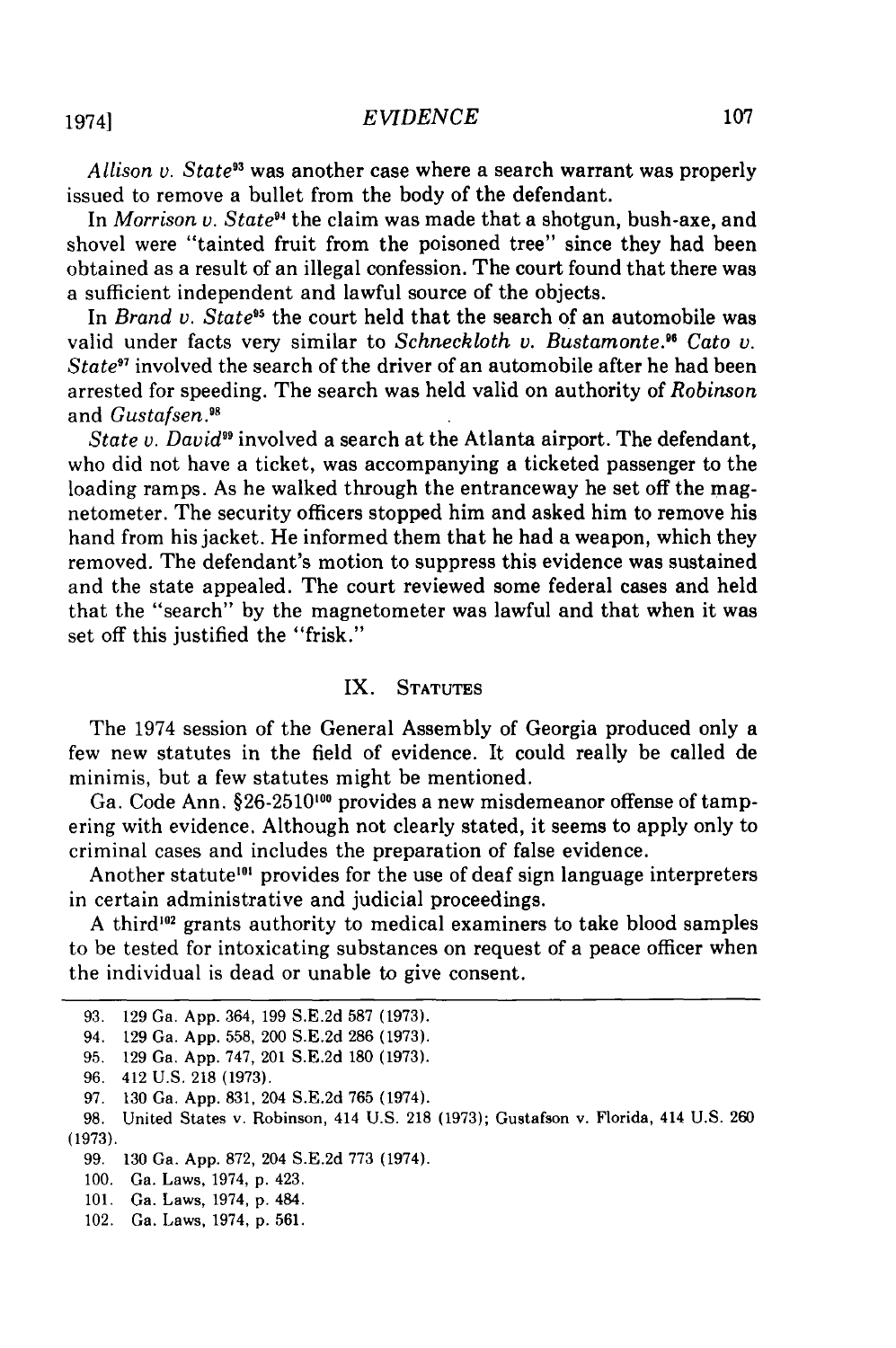*Allison v. State"* was another case where a search warrant was properly issued to remove a bullet from the body of the defendant.

In *Morrison v. State<sup>94</sup>* the claim was made that a shotgun, bush-axe, and shovel were "tainted fruit from the poisoned tree" since they had been obtained as a result of an illegal confession. The court found that there was a sufficient independent and lawful source of the objects.

In *Brand v. State<sup>95</sup>* the court held that the search of an automobile was valid under facts very similar to *Schneckloth v. Bustamonte." Cato v. State97* involved the search of the driver of an automobile after he had been arrested for speeding. The search was held valid on authority of *Robinson* and *Gustafsen*.<sup>98</sup>

*State v. David99* involved a search at the Atlanta airport. The defendant, who did not have a ticket, was accompanying a ticketed passenger to the loading ramps. As he walked through the entranceway he set off the magnetometer. The security officers stopped him and asked him to remove his hand from his jacket. He informed them that he had a weapon, which they removed. The defendant's motion to suppress this evidence was sustained and the state appealed. The court reviewed some federal cases and held that the "search" by the magnetometer was lawful and that when it was set off this justified the "frisk."

#### IX. STATUTES

The 1974 session of the General Assembly of Georgia produced only a few new statutes in the field of evidence. It could really be called de minimis, but a few statutes might be mentioned.

Ga. Code Ann. §26-2510<sup>100</sup> provides a new misdemeanor offense of tampering with evidence. Although not clearly stated, it seems to apply only to criminal cases and includes the preparation of false evidence.

Another statute<sup> $101$ </sup> provides for the use of deaf sign language interpreters in certain administrative and judicial proceedings.

A third<sup>102</sup> grants authority to medical examiners to take blood samples to be tested for intoxicating substances on request of a peace officer when the individual is dead or unable to give consent.

19741

**<sup>93. 129</sup>** Ga. App. 364, **199** S.E.2d **587 (1973).**

<sup>94.</sup> **129** Ga. App. 558, 200 S.E.2d **286** (1973).

**<sup>95. 129</sup>** Ga. App. 747, 201 S.E.2d **180 (1973).**

**<sup>96.</sup>** 412 U.S. **218 (1973).**

**<sup>97. 130</sup>** Ga. App. **831,** 204 S.E.2d **765** (1974).

**<sup>98.</sup>** United States v. Robinson, 414 U.S. **218 (1973);** Gustafson v. Florida, 414 U.S. **260 (1973).**

**<sup>99. 130</sup>** Ga. App. **872,** 204 S.E.2d **773** (1974).

<sup>100.</sup> Ga. Laws, 1974, p. 423.

<sup>101.</sup> Ga. Laws, 1974, p. 484.

<sup>102.</sup> Ga. Laws, 1974, p. **561.**